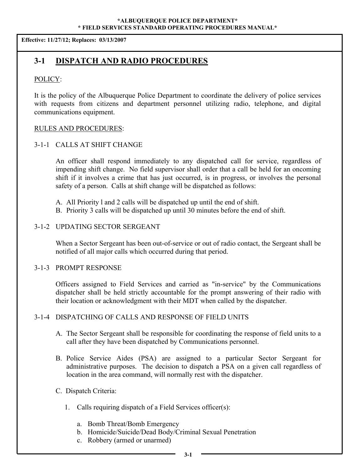**Effective: 11/27/12; Replaces: 03/13/2007**

# **3-1 DISPATCH AND RADIO PROCEDURES**

### POLICY:

It is the policy of the Albuquerque Police Department to coordinate the delivery of police services with requests from citizens and department personnel utilizing radio, telephone, and digital communications equipment.

#### RULES AND PROCEDURES:

# 3-1-1 CALLS AT SHIFT CHANGE

An officer shall respond immediately to any dispatched call for service, regardless of impending shift change. No field supervisor shall order that a call be held for an oncoming shift if it involves a crime that has just occurred, is in progress, or involves the personal safety of a person. Calls at shift change will be dispatched as follows:

- A. All Priority l and 2 calls will be dispatched up until the end of shift.
- B. Priority 3 calls will be dispatched up until 30 minutes before the end of shift.

#### 3-1-2 UPDATING SECTOR SERGEANT

When a Sector Sergeant has been out-of-service or out of radio contact, the Sergeant shall be notified of all major calls which occurred during that period.

#### 3-1-3 PROMPT RESPONSE

Officers assigned to Field Services and carried as "in-service" by the Communications dispatcher shall be held strictly accountable for the prompt answering of their radio with their location or acknowledgment with their MDT when called by the dispatcher.

# 3-1-4 DISPATCHING OF CALLS AND RESPONSE OF FIELD UNITS

- A. The Sector Sergeant shall be responsible for coordinating the response of field units to a call after they have been dispatched by Communications personnel.
- B. Police Service Aides (PSA) are assigned to a particular Sector Sergeant for administrative purposes. The decision to dispatch a PSA on a given call regardless of location in the area command, will normally rest with the dispatcher.
- C. Dispatch Criteria:
	- 1. Calls requiring dispatch of a Field Services officer(s):
		- a. Bomb Threat/Bomb Emergency
		- b. Homicide/Suicide/Dead Body/Criminal Sexual Penetration
		- c. Robbery (armed or unarmed)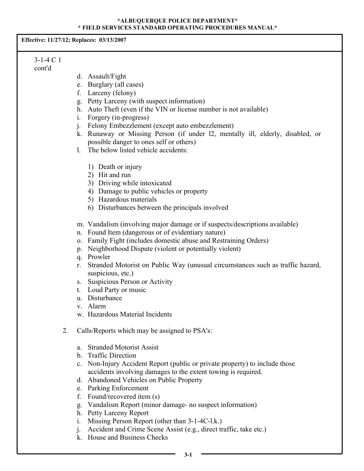**Effective: 11/27/12; Replaces: 03/13/2007**

#### 3-1-4 C 1 cont'd

- d. Assault/Fight
- e. Burglary (all cases)
- f. Larceny (felony)
- g. Petty Larceny (with suspect information)
- h. Auto Theft (even if the VIN or license number is not available)
- i. Forgery (in-progress)
- j. Felony Embezzlement (except auto embezzlement)
- k. Runaway or Missing Person (if under l2, mentally ill, elderly, disabled, or possible danger to ones self or others)
- l. The below listed vehicle accidents:
	- 1) Death or injury
	- 2) Hit and run
	- 3) Driving while intoxicated
	- 4) Damage to public vehicles or property
	- 5) Hazardous materials
	- 6) Disturbances between the principals involved
- m. Vandalism (involving major damage or if suspects/descriptions available)
- n. Found Item (dangerous or of evidentiary nature)
- o. Family Fight (includes domestic abuse and Restraining Orders)
- p. Neighborhood Dispute (violent or potentially violent)
- q. Prowler
- r. Stranded Motorist on Public Way (unusual circumstances such as traffic hazard, suspicious, etc.)
- s. Suspicious Person or Activity
- t. Loud Party or music
- u. Disturbance
- v. Alarm
- w. Hazardous Material Incidents
- 2. Calls/Reports which may be assigned to PSA's:
	- a. Stranded Motorist Assist
	- b. Traffic Direction
	- c. Non-Injury Accident Report (public or private property) to include those accidents involving damages to the extent towing is required.
	- d. Abandoned Vehicles on Public Property
	- e. Parking Enforcement
	- f. Found/recovered item (s)
	- g. Vandalism Report (minor damage- no suspect information)
	- h. Petty Larceny Report
	- i. Missing Person Report (other than 3-1-4C-l.k.)
	- j. Accident and Crime Scene Assist (e.g., direct traffic, take etc.)
	- k. House and Business Checks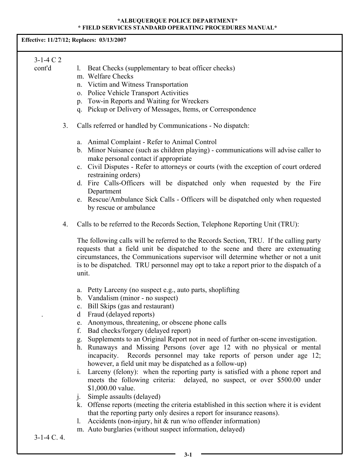**Effective: 11/27/12; Replaces: 03/13/2007**

# 3-1-4 C 2

| cont'd |  |  |  | Beat Checks (supplementary to beat officer checks) |
|--------|--|--|--|----------------------------------------------------|
|--------|--|--|--|----------------------------------------------------|

- m. Welfare Checks
- n. Victim and Witness Transportation
- o. Police Vehicle Transport Activities
- p. Tow-in Reports and Waiting for Wreckers
- q. Pickup or Delivery of Messages, Items, or Correspondence
- 3. Calls referred or handled by Communications No dispatch:
	- a. Animal Complaint Refer to Animal Control
	- b. Minor Nuisance (such as children playing) communications will advise caller to make personal contact if appropriate
	- c. Civil Disputes Refer to attorneys or courts (with the exception of court ordered restraining orders)
	- d. Fire Calls-Officers will be dispatched only when requested by the Fire Department
	- e. Rescue/Ambulance Sick Calls Officers will be dispatched only when requested by rescue or ambulance
- 4. Calls to be referred to the Records Section, Telephone Reporting Unit (TRU):

The following calls will be referred to the Records Section, TRU. If the calling party requests that a field unit be dispatched to the scene and there are extenuating circumstances, the Communications supervisor will determine whether or not a unit is to be dispatched. TRU personnel may opt to take a report prior to the dispatch of a unit.

- a. Petty Larceny (no suspect e.g., auto parts, shoplifting
- b. Vandalism (minor no suspect)
- c. Bill Skips (gas and restaurant)
- . d Fraud (delayed reports)
- e. Anonymous, threatening, or obscene phone calls
- f. Bad checks/forgery (delayed report)
- g. Supplements to an Original Report not in need of further on-scene investigation.
- h. Runaways and Missing Persons (over age 12 with no physical or mental incapacity. Records personnel may take reports of person under age 12; however, a field unit may be dispatched as a follow-up)
- i. Larceny (felony): when the reporting party is satisfied with a phone report and meets the following criteria: delayed, no suspect, or over \$500.00 under \$1,000.00 value.
- j. Simple assaults (delayed)
- k. Offense reports (meeting the criteria established in this section where it is evident that the reporting party only desires a report for insurance reasons).
- l. Accidents (non-injury, hit & run w/no offender information)
- m. Auto burglaries (without suspect information, delayed)

3-1-4 C. 4.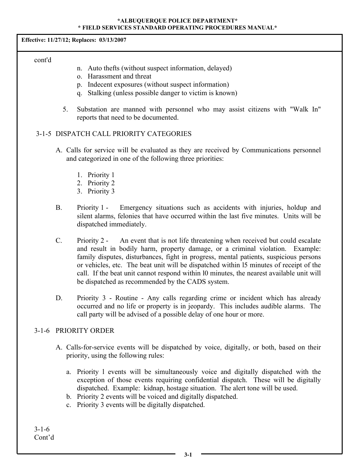**Effective: 11/27/12; Replaces: 03/13/2007**

cont'd

- n. Auto thefts (without suspect information, delayed)
- o. Harassment and threat
- p. Indecent exposures (without suspect information)
- q. Stalking (unless possible danger to victim is known)
- 5. Substation are manned with personnel who may assist citizens with "Walk In" reports that need to be documented.

# 3-1-5 DISPATCH CALL PRIORITY CATEGORIES

- A. Calls for service will be evaluated as they are received by Communications personnel and categorized in one of the following three priorities:
	- 1. Priority 1
	- 2. Priority 2
	- 3. Priority 3
- B. Priority 1 Emergency situations such as accidents with injuries, holdup and silent alarms, felonies that have occurred within the last five minutes. Units will be dispatched immediately.
- C. Priority 2 An event that is not life threatening when received but could escalate and result in bodily harm, property damage, or a criminal violation. Example: family disputes, disturbances, fight in progress, mental patients, suspicious persons or vehicles, etc. The beat unit will be dispatched within l5 minutes of receipt of the call. If the beat unit cannot respond within l0 minutes, the nearest available unit will be dispatched as recommended by the CADS system.
- D. Priority 3 Routine Any calls regarding crime or incident which has already occurred and no life or property is in jeopardy. This includes audible alarms. The call party will be advised of a possible delay of one hour or more.

# 3-1-6 PRIORITY ORDER

- A. Calls-for-service events will be dispatched by voice, digitally, or both, based on their priority, using the following rules:
	- a. Priority l events will be simultaneously voice and digitally dispatched with the exception of those events requiring confidential dispatch. These will be digitally dispatched. Example: kidnap, hostage situation. The alert tone will be used.
	- b. Priority 2 events will be voiced and digitally dispatched.
	- c. Priority 3 events will be digitally dispatched.

3-1-6 Cont'd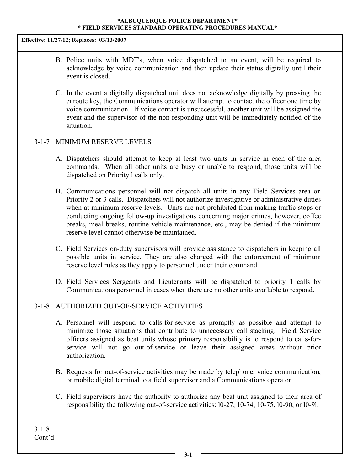**Effective: 11/27/12; Replaces: 03/13/2007**

- B. Police units with MDT's, when voice dispatched to an event, will be required to acknowledge by voice communication and then update their status digitally until their event is closed.
- C. In the event a digitally dispatched unit does not acknowledge digitally by pressing the enroute key, the Communications operator will attempt to contact the officer one time by voice communication. If voice contact is unsuccessful, another unit will be assigned the event and the supervisor of the non-responding unit will be immediately notified of the situation.

# 3-1-7 MINIMUM RESERVE LEVELS

- A. Dispatchers should attempt to keep at least two units in service in each of the area commands. When all other units are busy or unable to respond, those units will be dispatched on Priority l calls only.
- B. Communications personnel will not dispatch all units in any Field Services area on Priority 2 or 3 calls. Dispatchers will not authorize investigative or administrative duties when at minimum reserve levels. Units are not prohibited from making traffic stops or conducting ongoing follow-up investigations concerning major crimes, however, coffee breaks, meal breaks, routine vehicle maintenance, etc., may be denied if the minimum reserve level cannot otherwise be maintained.
- C. Field Services on-duty supervisors will provide assistance to dispatchers in keeping all possible units in service. They are also charged with the enforcement of minimum reserve level rules as they apply to personnel under their command.
- D. Field Services Sergeants and Lieutenants will be dispatched to priority 1 calls by Communications personnel in cases when there are no other units available to respond.

# 3-1-8 AUTHORIZED OUT-OF-SERVICE ACTIVITIES

- A. Personnel will respond to calls-for-service as promptly as possible and attempt to minimize those situations that contribute to unnecessary call stacking. Field Service officers assigned as beat units whose primary responsibility is to respond to calls-forservice will not go out-of-service or leave their assigned areas without prior authorization.
- B. Requests for out-of-service activities may be made by telephone, voice communication, or mobile digital terminal to a field supervisor and a Communications operator.
- C. Field supervisors have the authority to authorize any beat unit assigned to their area of responsibility the following out-of-service activities: l0-27, 10-74, 10-75, l0-90, or l0-9l.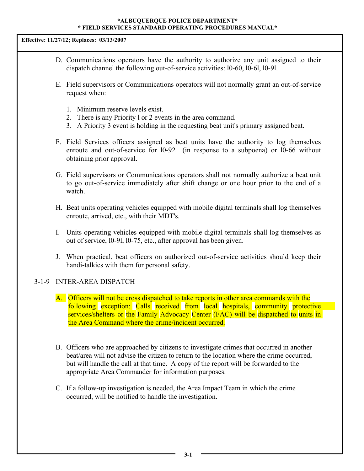**Effective: 11/27/12; Replaces: 03/13/2007**

- D. Communications operators have the authority to authorize any unit assigned to their dispatch channel the following out-of-service activities: l0-60, l0-6l, l0-9l.
- E. Field supervisors or Communications operators will not normally grant an out-of-service request when:
	- 1. Minimum reserve levels exist.
	- 2. There is any Priority l or 2 events in the area command.
	- 3. A Priority 3 event is holding in the requesting beat unit's primary assigned beat.
- F. Field Services officers assigned as beat units have the authority to log themselves enroute and out-of-service for l0-92 (in response to a subpoena) or l0-66 without obtaining prior approval.
- G. Field supervisors or Communications operators shall not normally authorize a beat unit to go out-of-service immediately after shift change or one hour prior to the end of a watch.
- H. Beat units operating vehicles equipped with mobile digital terminals shall log themselves enroute, arrived, etc., with their MDT's.
- I. Units operating vehicles equipped with mobile digital terminals shall log themselves as out of service, l0-9l, l0-75, etc., after approval has been given.
- J. When practical, beat officers on authorized out-of-service activities should keep their handi-talkies with them for personal safety.

# 3-1-9 INTER-AREA DISPATCH

- A. Officers will not be cross dispatched to take reports in other area commands with the following exception: Calls received from local hospitals, community protective services/shelters or the Family Advocacy Center (FAC) will be dispatched to units in the Area Command where the crime/incident occurred.
- B. Officers who are approached by citizens to investigate crimes that occurred in another beat/area will not advise the citizen to return to the location where the crime occurred, but will handle the call at that time. A copy of the report will be forwarded to the appropriate Area Commander for information purposes.
- C. If a follow-up investigation is needed, the Area Impact Team in which the crime occurred, will be notified to handle the investigation.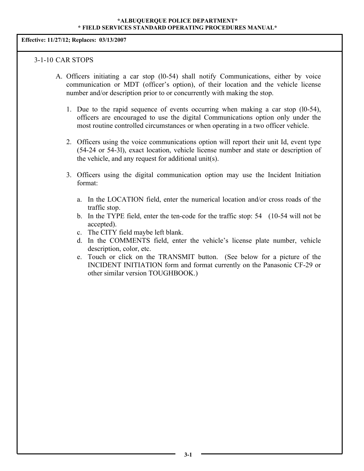**Effective: 11/27/12; Replaces: 03/13/2007**

#### 3-1-10 CAR STOPS

- A. Officers initiating a car stop (l0-54) shall notify Communications, either by voice communication or MDT (officer's option), of their location and the vehicle license number and/or description prior to or concurrently with making the stop.
	- 1. Due to the rapid sequence of events occurring when making a car stop (l0-54), officers are encouraged to use the digital Communications option only under the most routine controlled circumstances or when operating in a two officer vehicle.
	- 2. Officers using the voice communications option will report their unit Id, event type (54-24 or 54-3l), exact location, vehicle license number and state or description of the vehicle, and any request for additional unit(s).
	- 3. Officers using the digital communication option may use the Incident Initiation format:
		- a. In the LOCATION field, enter the numerical location and/or cross roads of the traffic stop.
		- b. In the TYPE field, enter the ten-code for the traffic stop: 54 (10-54 will not be accepted).
		- c. The CITY field maybe left blank.
		- d. In the COMMENTS field, enter the vehicle's license plate number, vehicle description, color, etc.
		- e. Touch or click on the TRANSMIT button. (See below for a picture of the INCIDENT INITIATION form and format currently on the Panasonic CF-29 or other similar version TOUGHBOOK.)